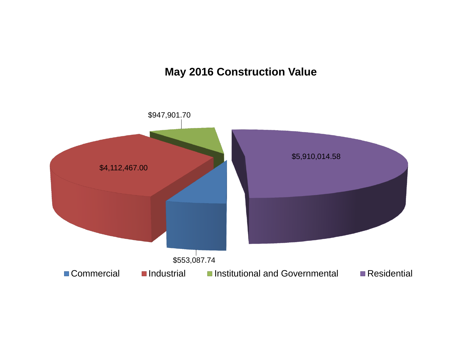### **May 2016 Construction Value**

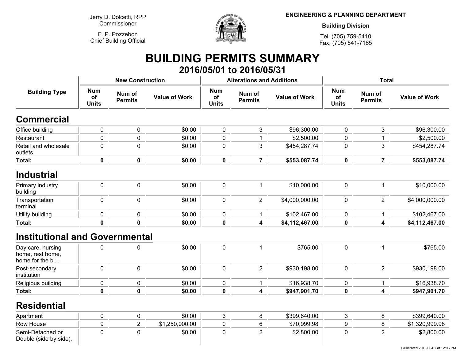**Jerry D. Dolcetti, RPPCommissioner**

**F. P. PozzebonChief Building Official**



**ENGINEERING & PLANNING DEPARTMENT**

**Building Division**

**Tel: (705) 759-5410Fax: (705) 541-7165**

## **BUILDING PERMITS SUMMARY 2016/05/01 to 2016/05/31**

|                                                          |                                  | <b>New Construction</b>  |                      |                                  | <b>Alterations and Additions</b> |                      | <b>Total</b>                     |                          |                      |  |
|----------------------------------------------------------|----------------------------------|--------------------------|----------------------|----------------------------------|----------------------------------|----------------------|----------------------------------|--------------------------|----------------------|--|
| <b>Building Type</b>                                     | <b>Num</b><br>of<br><b>Units</b> | Num of<br><b>Permits</b> | <b>Value of Work</b> | <b>Num</b><br>of<br><b>Units</b> | Num of<br><b>Permits</b>         | <b>Value of Work</b> | <b>Num</b><br>of<br><b>Units</b> | Num of<br><b>Permits</b> | <b>Value of Work</b> |  |
| <b>Commercial</b>                                        |                                  |                          |                      |                                  |                                  |                      |                                  |                          |                      |  |
| Office building                                          | $\pmb{0}$                        | $\pmb{0}$                | 0<br>\$0.00          |                                  | 3                                | \$96,300.00          | $\pmb{0}$                        | 3                        | \$96,300.00          |  |
| Restaurant                                               | 0                                | $\mathbf 0$              | \$0.00               | 0                                | 1                                | \$2,500.00           | $\mathbf 0$                      | 1                        | \$2,500.00           |  |
| Retail and wholesale<br>outlets                          | $\mathbf 0$                      | $\mathbf 0$              | \$0.00               | 0                                | 3                                | \$454,287.74         | 0                                | 3                        | \$454,287.74         |  |
| <b>Total:</b>                                            | $\mathbf 0$                      | $\mathbf 0$              | \$0.00               | $\mathbf 0$                      | $\overline{7}$                   | \$553,087.74         | $\mathbf 0$                      | $\overline{7}$           | \$553,087.74         |  |
| <b>Industrial</b>                                        |                                  |                          |                      |                                  |                                  |                      |                                  |                          |                      |  |
| Primary industry<br>building                             | 0                                | $\mathbf 0$              | \$0.00               | 0                                | $\mathbf{1}$                     | \$10,000.00          | $\pmb{0}$                        | $\mathbf{1}$             | \$10,000.00          |  |
| Transportation<br>terminal                               | 0                                | $\mathbf 0$              | \$0.00               | 0                                | $\overline{2}$                   | \$4,000,000.00       | $\mathbf 0$                      | $\overline{2}$           | \$4,000,000.00       |  |
| Utility building                                         | 0                                | $\mathbf 0$              | \$0.00               | 0                                | 1                                | \$102,467.00         | $\mathbf 0$                      | $\mathbf 1$              | \$102,467.00         |  |
| <b>Total:</b>                                            | $\mathbf 0$                      | $\mathbf 0$              | \$0.00               | $\mathbf 0$                      | 4                                | \$4,112,467.00       | $\mathbf 0$                      | 4                        | \$4,112,467.00       |  |
| <b>Institutional and Governmental</b>                    |                                  |                          |                      |                                  |                                  |                      |                                  |                          |                      |  |
| Day care, nursing<br>home, rest home,<br>home for the bl | 0                                | 0                        | \$0.00               | 0                                | 1                                | \$765.00             | $\mathbf 0$                      | $\mathbf{1}$             | \$765.00             |  |
| Post-secondary<br>institution                            | 0                                | $\mathbf 0$              | \$0.00               | 0                                | $\overline{2}$                   | \$930,198.00         | $\mathbf 0$                      | $\overline{2}$           | \$930,198.00         |  |
| Religious building                                       | 0                                | $\mathbf 0$              | \$0.00               | 0                                | $\mathbf{1}$                     | \$16,938.70          | $\mathbf 0$                      | 1                        | \$16,938.70          |  |
| Total:                                                   | 0                                | $\mathbf 0$              | \$0.00               | $\pmb{0}$                        | 4                                | \$947,901.70         | $\mathbf 0$                      | 4                        | \$947,901.70         |  |
| <b>Residential</b>                                       |                                  |                          |                      |                                  |                                  |                      |                                  |                          |                      |  |
| Apartment                                                | 0                                | $\mathbf 0$              | \$0.00               | 3                                | 8                                | \$399,640.00         | $\mathbf{3}$                     | 8                        | \$399,640.00         |  |
| Row House                                                | 9                                | $\overline{c}$           | \$1,250,000.00       | 0                                | 6                                | \$70,999.98          | $\boldsymbol{9}$                 | 8                        | \$1,320,999.98       |  |
| Semi-Detached or<br>Double (side by side),               | 0                                | $\mathbf 0$              | \$0.00               | 0                                | $\overline{2}$                   | \$2,800.00           | $\mathbf 0$                      | $\overline{2}$           | \$2,800.00           |  |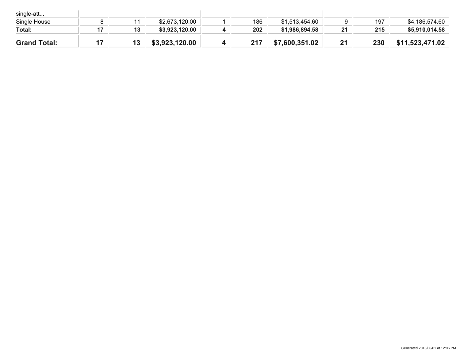| single-att          |    |    |                |     |                |    |     |                 |
|---------------------|----|----|----------------|-----|----------------|----|-----|-----------------|
| Single House        |    |    | \$2,673,120.00 | 186 | \$1,513,454.60 |    | 197 | \$4,186,574.60  |
| Total:              |    | 13 | \$3,923,120.00 | 202 | \$1,986,894.58 | 21 | 215 | \$5,910,014.58  |
| <b>Grand Total:</b> | 17 | IJ | \$3,923,120.00 | 217 | \$7,600,351.02 | 21 | 230 | \$11,523,471.02 |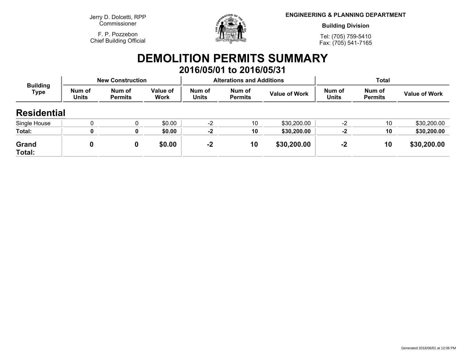**Jerry D. Dolcetti, RPPCommissioner**

**F. P. PozzebonChief Building Official**



**ENGINEERING & PLANNING DEPARTMENT**

**Building Division**

**Tel: (705) 759-5410Fax: (705) 541-7165**

## **DEMOLITION PERMITS SUMMARY 2016/05/01 to 2016/05/31**

| <b>Building</b><br>Type |                 | <b>New Construction</b>  |                         |                        | <b>Alterations and Additions</b> |                      | Total                  |                          |                      |
|-------------------------|-----------------|--------------------------|-------------------------|------------------------|----------------------------------|----------------------|------------------------|--------------------------|----------------------|
|                         | Num of<br>Units | Num of<br><b>Permits</b> | Value of<br><b>Work</b> | Num of<br><b>Units</b> | Num of<br>Permits                | <b>Value of Work</b> | Num of<br><b>Units</b> | Num of<br><b>Permits</b> | <b>Value of Work</b> |
| <b>Residential</b>      |                 |                          |                         |                        |                                  |                      |                        |                          |                      |
| Single House            |                 |                          | \$0.00                  | $-2$                   | 10                               | \$30,200.00          | $-2$                   | 10                       | \$30,200.00          |
| Total:                  |                 |                          | \$0.00                  | $-2$                   | 10                               | \$30,200.00          | $-2$                   | 10                       | \$30,200.00          |
| Grand<br>Total:         | 0               |                          | \$0.00                  | $-2$                   | 10                               | \$30,200.00          | $-2$                   | 10                       | \$30,200.00          |